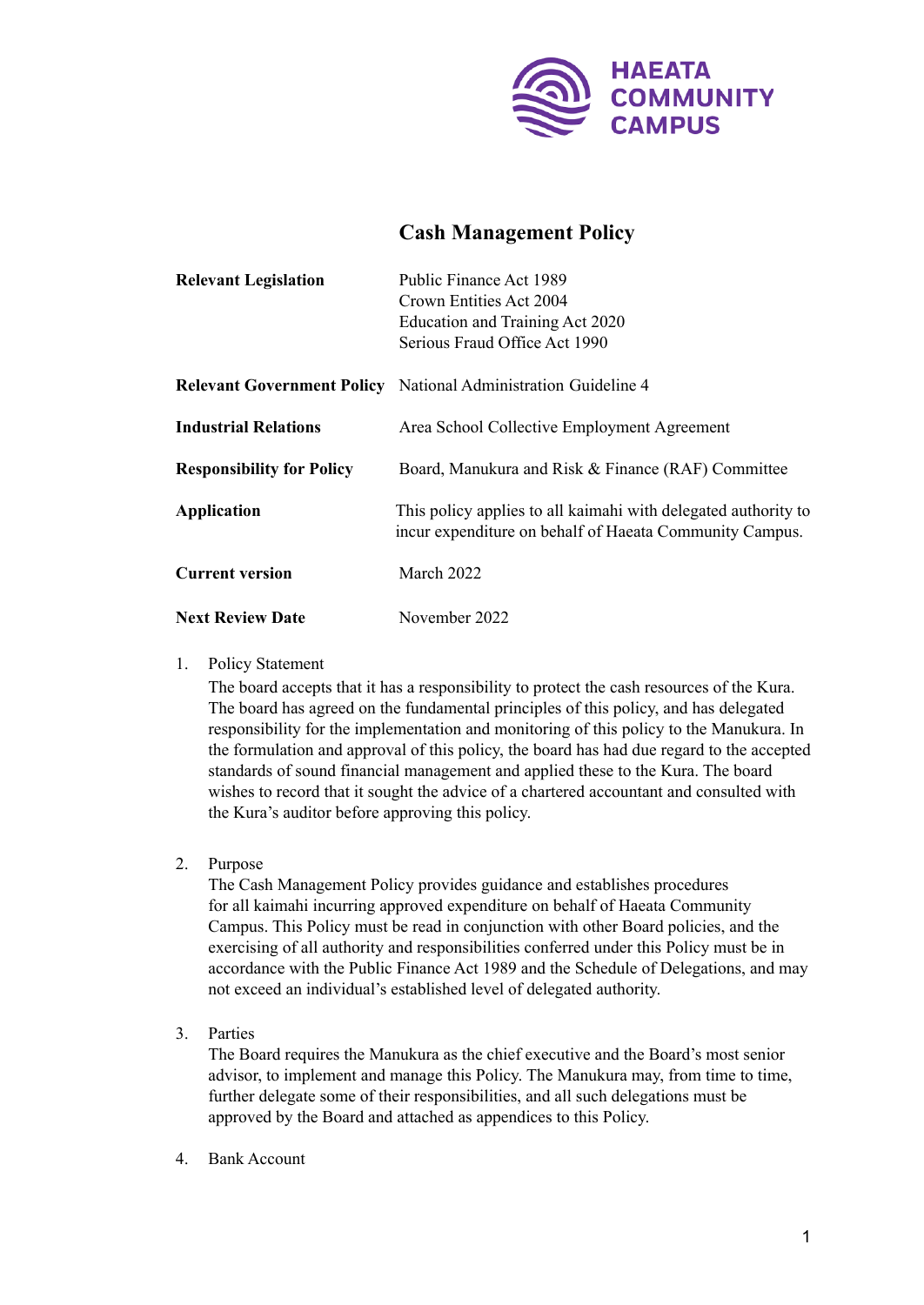

## **Cash Management Policy**

| <b>Relevant Legislation</b>      | Public Finance Act 1989                                                                                                   |
|----------------------------------|---------------------------------------------------------------------------------------------------------------------------|
|                                  | Crown Entities Act 2004                                                                                                   |
|                                  | Education and Training Act 2020                                                                                           |
|                                  | Serious Fraud Office Act 1990                                                                                             |
|                                  | <b>Relevant Government Policy</b> National Administration Guideline 4                                                     |
| <b>Industrial Relations</b>      | Area School Collective Employment Agreement                                                                               |
| <b>Responsibility for Policy</b> | Board, Manukura and Risk & Finance (RAF) Committee                                                                        |
| <b>Application</b>               | This policy applies to all kaimahi with delegated authority to<br>incur expenditure on behalf of Haeata Community Campus. |
| <b>Current version</b>           | March 2022                                                                                                                |
| <b>Next Review Date</b>          | November 2022                                                                                                             |

## 1. Policy Statement

The board accepts that it has a responsibility to protect the cash resources of the Kura. The board has agreed on the fundamental principles of this policy, and has delegated responsibility for the implementation and monitoring of this policy to the Manukura. In the formulation and approval of this policy, the board has had due regard to the accepted standards of sound financial management and applied these to the Kura. The board wishes to record that it sought the advice of a chartered accountant and consulted with the Kura's auditor before approving this policy.

2. Purpose

The Cash Management Policy provides guidance and establishes procedures for all kaimahi incurring approved expenditure on behalf of Haeata Community Campus. This Policy must be read in conjunction with other Board policies, and the exercising of all authority and responsibilities conferred under this Policy must be in accordance with the Public Finance Act 1989 and the Schedule of Delegations, and may not exceed an individual's established level of delegated authority.

3. Parties

The Board requires the Manukura as the chief executive and the Board's most senior advisor, to implement and manage this Policy. The Manukura may, from time to time, further delegate some of their responsibilities, and all such delegations must be approved by the Board and attached as appendices to this Policy.

4. Bank Account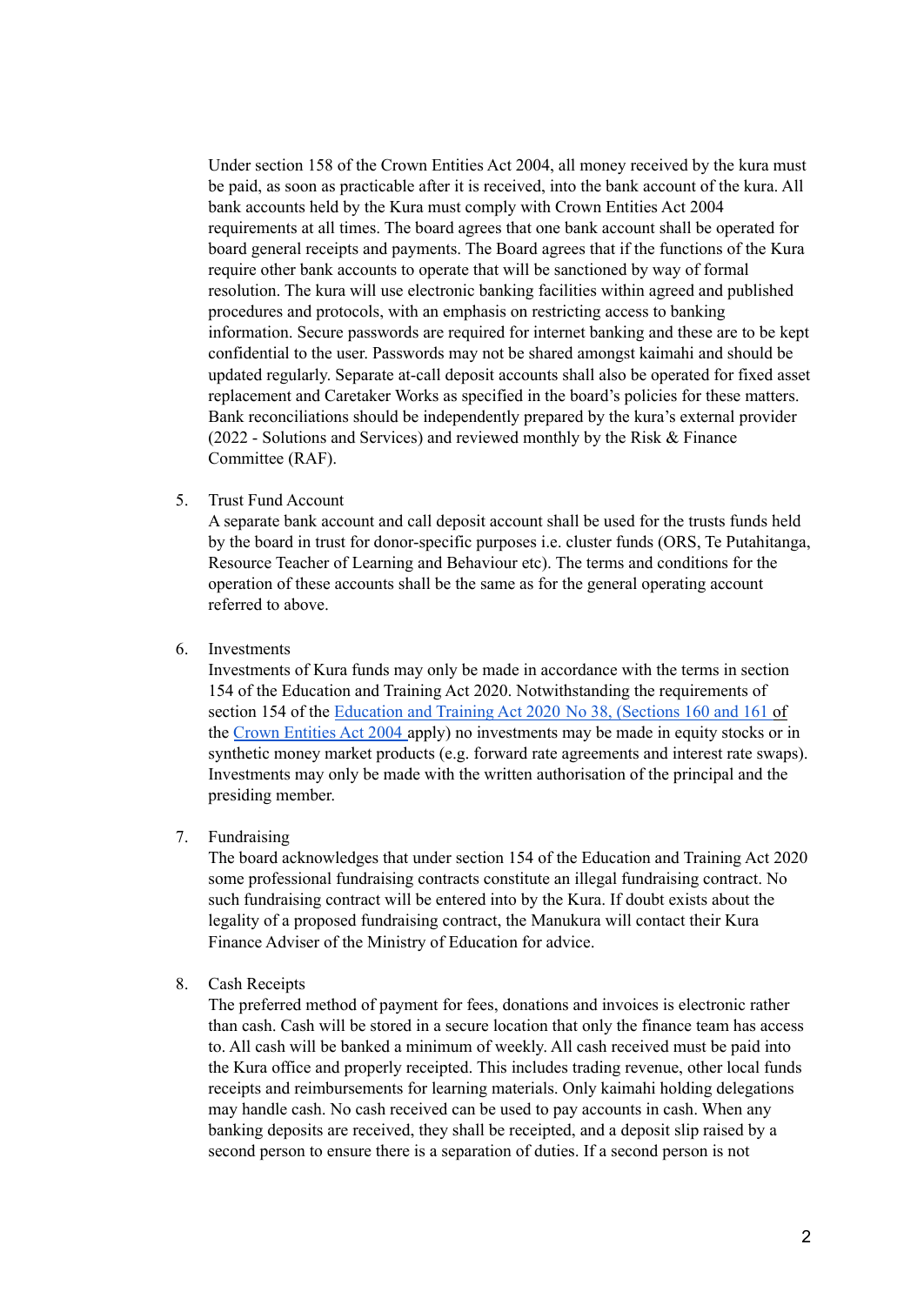Under section 158 of the Crown Entities Act 2004, all money received by the kura must be paid, as soon as practicable after it is received, into the bank account of the kura. All bank accounts held by the Kura must comply with Crown Entities Act 2004 requirements at all times. The board agrees that one bank account shall be operated for board general receipts and payments. The Board agrees that if the functions of the Kura require other bank accounts to operate that will be sanctioned by way of formal resolution. The kura will use electronic banking facilities within agreed and published procedures and protocols, with an emphasis on restricting access to banking information. Secure passwords are required for internet banking and these are to be kept confidential to the user. Passwords may not be shared amongst kaimahi and should be updated regularly. Separate at-call deposit accounts shall also be operated for fixed asset replacement and Caretaker Works as specified in the board's policies for these matters. Bank reconciliations should be independently prepared by the kura's external provider (2022 - Solutions and Services) and reviewed monthly by the Risk & Finance Committee (RAF).

5. Trust Fund Account

A separate bank account and call deposit account shall be used for the trusts funds held by the board in trust for donor-specific purposes i.e. cluster funds (ORS, Te Putahitanga, Resource Teacher of Learning and Behaviour etc). The terms and conditions for the operation of these accounts shall be the same as for the general operating account referred to above.

6. Investments

Investments of Kura funds may only be made in accordance with the terms in section 154 of the Education and Training Act 2020. Notwithstanding the requirements of section 154 of the [Education](https://www.legislation.govt.nz/act/public/2020/0038/latest/LMS289486.html) and Training Act 2020 No 38, [\(Sections](https://www.legislation.govt.nz/act/public/2020/0038/latest/link.aspx?id=DLM330565#DLM330565) 160 and [161](https://www.legislation.govt.nz/act/public/2020/0038/latest/link.aspx?id=DLM330566#DLM330566) of the Crown [Entities](https://www.legislation.govt.nz/act/public/2004/0115/latest/DLM330562.html) Act 2004 apply) no investments may be made in equity stocks or in synthetic money market products (e.g. forward rate agreements and interest rate swaps). Investments may only be made with the written authorisation of the principal and the presiding member.

7. Fundraising

The board acknowledges that under section 154 of the Education and Training Act 2020 some professional fundraising contracts constitute an illegal fundraising contract. No such fundraising contract will be entered into by the Kura. If doubt exists about the legality of a proposed fundraising contract, the Manukura will contact their Kura Finance Adviser of the Ministry of Education for advice.

8. Cash Receipts

The preferred method of payment for fees, donations and invoices is electronic rather than cash. Cash will be stored in a secure location that only the finance team has access to. All cash will be banked a minimum of weekly. All cash received must be paid into the Kura office and properly receipted. This includes trading revenue, other local funds receipts and reimbursements for learning materials. Only kaimahi holding delegations may handle cash. No cash received can be used to pay accounts in cash. When any banking deposits are received, they shall be receipted, and a deposit slip raised by a second person to ensure there is a separation of duties. If a second person is not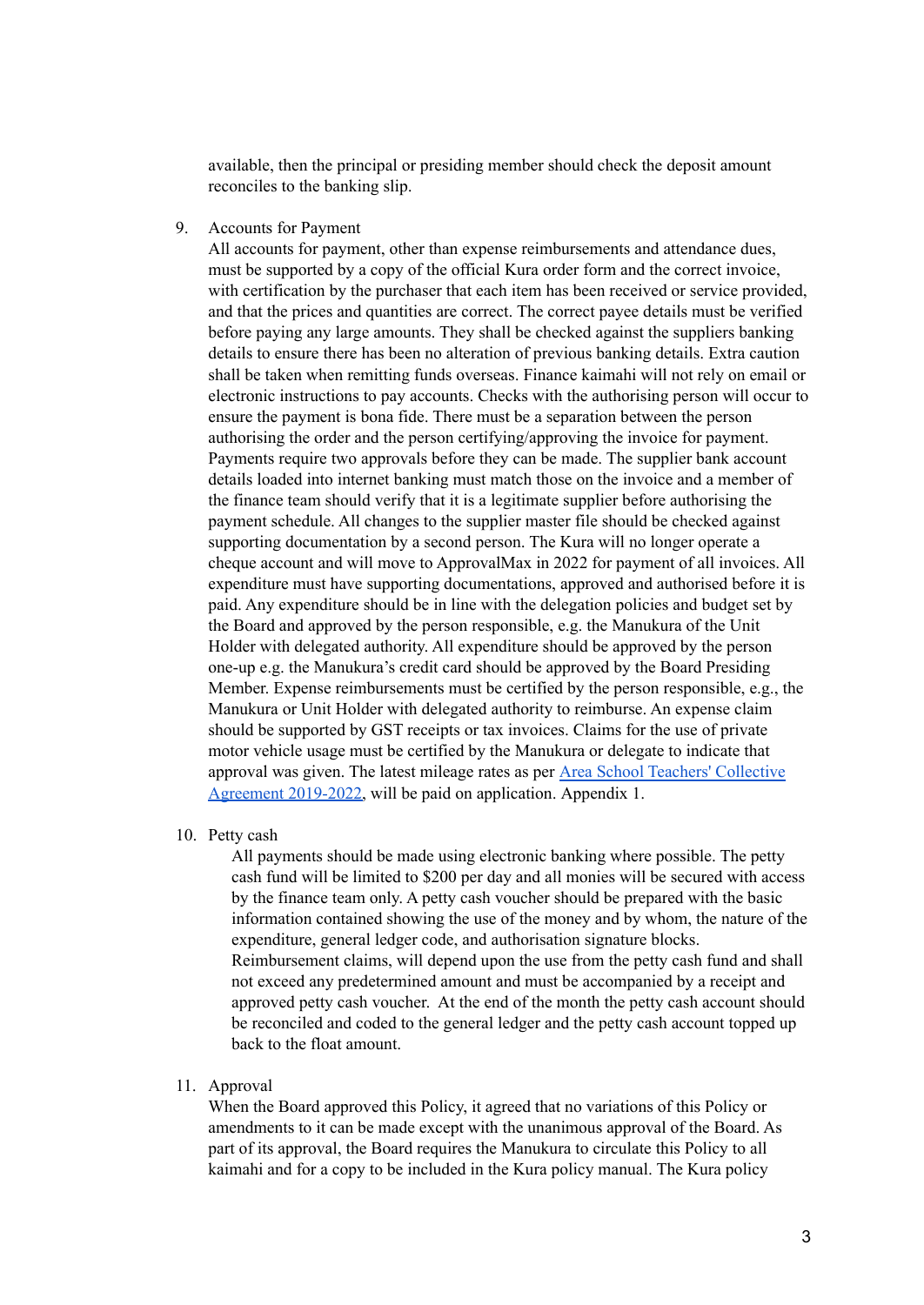available, then the principal or presiding member should check the deposit amount reconciles to the banking slip.

9. Accounts for Payment

All accounts for payment, other than expense reimbursements and attendance dues, must be supported by a copy of the official Kura order form and the correct invoice, with certification by the purchaser that each item has been received or service provided, and that the prices and quantities are correct. The correct payee details must be verified before paying any large amounts. They shall be checked against the suppliers banking details to ensure there has been no alteration of previous banking details. Extra caution shall be taken when remitting funds overseas. Finance kaimahi will not rely on email or electronic instructions to pay accounts. Checks with the authorising person will occur to ensure the payment is bona fide. There must be a separation between the person authorising the order and the person certifying/approving the invoice for payment. Payments require two approvals before they can be made. The supplier bank account details loaded into internet banking must match those on the invoice and a member of the finance team should verify that it is a legitimate supplier before authorising the payment schedule. All changes to the supplier master file should be checked against supporting documentation by a second person. The Kura will no longer operate a cheque account and will move to ApprovalMax in 2022 for payment of all invoices. All expenditure must have supporting documentations, approved and authorised before it is paid. Any expenditure should be in line with the delegation policies and budget set by the Board and approved by the person responsible, e.g. the Manukura of the Unit Holder with delegated authority. All expenditure should be approved by the person one-up e.g. the Manukura's credit card should be approved by the Board Presiding Member. Expense reimbursements must be certified by the person responsible, e.g., the Manukura or Unit Holder with delegated authority to reimburse. An expense claim should be supported by GST receipts or tax invoices. Claims for the use of private motor vehicle usage must be certified by the Manukura or delegate to indicate that approval was given. The latest mileage rates as per Area School Teachers' [Collective](https://assets.education.govt.nz/public/Documents/School/Collective-Employment-Agreements/Area-School-Teachers-Collective-Agreement/Area-School-Teachers-Collective-Agreement-2019-2022.pdf) [Agreement](https://assets.education.govt.nz/public/Documents/School/Collective-Employment-Agreements/Area-School-Teachers-Collective-Agreement/Area-School-Teachers-Collective-Agreement-2019-2022.pdf) 2019-2022, will be paid on application. Appendix 1.

10. Petty cash

All payments should be made using electronic banking where possible. The petty cash fund will be limited to \$200 per day and all monies will be secured with access by the finance team only. A petty cash voucher should be prepared with the basic information contained showing the use of the money and by whom, the nature of the expenditure, general ledger code, and authorisation signature blocks. Reimbursement claims, will depend upon the use from the petty cash fund and shall not exceed any predetermined amount and must be accompanied by a receipt and approved petty cash voucher. At the end of the month the petty cash account should be reconciled and coded to the general ledger and the petty cash account topped up back to the float amount.

11. Approval

When the Board approved this Policy, it agreed that no variations of this Policy or amendments to it can be made except with the unanimous approval of the Board. As part of its approval, the Board requires the Manukura to circulate this Policy to all kaimahi and for a copy to be included in the Kura policy manual. The Kura policy